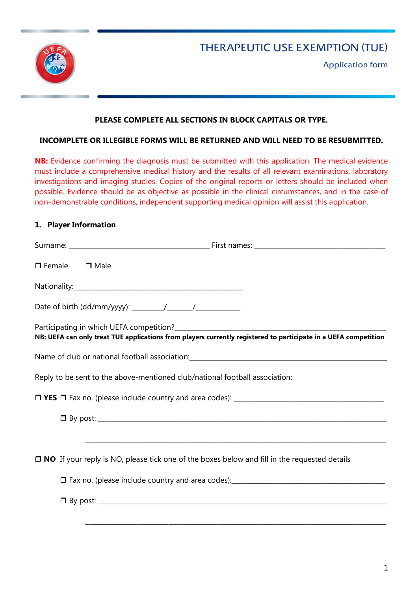

# THERAPEUTIC USE EXEMPTION (TUE)

Application form

## **PLEASE COMPLETE ALL SECTIONS IN BLOCK CAPITALS OR TYPE.**

#### **INCOMPLETE OR ILLEGIBLE FORMS WILL BE RETURNED AND WILL NEED TO BE RESUBMITTED.**

**NB:** Evidence confirming the diagnosis must be submitted with this application. The medical evidence must include a comprehensive medical history and the results of all relevant examinations, laboratory investigations and imaging studies. Copies of the original reports or letters should be included when possible. Evidence should be as objective as possible in the clinical circumstances, and in the case of non-demonstrable conditions, independent supporting medical opinion will assist this application.

#### **1. Player Information**

| $\Box$ Female $\Box$ Male                                                   |                                                                                                                 |
|-----------------------------------------------------------------------------|-----------------------------------------------------------------------------------------------------------------|
|                                                                             |                                                                                                                 |
|                                                                             |                                                                                                                 |
|                                                                             | NB: UEFA can only treat TUE applications from players currently registered to participate in a UEFA competition |
|                                                                             | Name of club or national football association: __________________________________                               |
| Reply to be sent to the above-mentioned club/national football association: |                                                                                                                 |
|                                                                             |                                                                                                                 |
|                                                                             |                                                                                                                 |
|                                                                             | $\Box$ NO If your reply is NO, please tick one of the boxes below and fill in the requested details             |
|                                                                             |                                                                                                                 |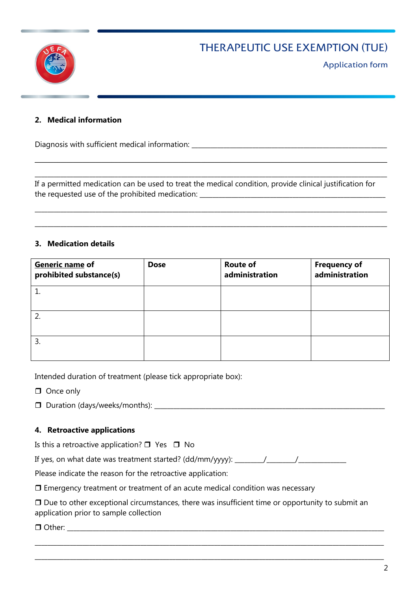## THERAPEUTIC USE EXEMPTION (TUE)



Application form

## **2. Medical information**

Diagnosis with sufficient medical information: \_\_\_\_\_\_\_\_\_\_\_\_\_\_\_\_\_\_\_\_\_\_\_\_\_\_\_\_\_\_\_\_\_\_\_\_\_\_\_\_\_\_\_\_\_\_\_\_\_\_\_\_\_\_\_\_\_\_\_\_\_

If a permitted medication can be used to treat the medical condition, provide clinical justification for the requested use of the prohibited medication: \_\_\_\_\_\_\_\_\_\_\_\_\_\_\_\_\_\_\_\_\_\_\_\_\_\_\_\_\_\_\_\_

 $\_$  , and the set of the set of the set of the set of the set of the set of the set of the set of the set of the set of the set of the set of the set of the set of the set of the set of the set of the set of the set of th

\_\_\_\_\_\_\_\_\_\_\_\_\_\_\_\_\_\_\_\_\_\_\_\_\_\_\_\_\_\_\_\_\_\_\_\_\_\_\_\_\_\_\_\_\_\_\_\_\_\_\_\_\_\_\_\_\_\_\_\_\_\_\_\_\_\_\_\_\_\_\_\_\_\_\_\_\_\_\_\_\_\_\_\_\_\_\_\_\_\_\_\_\_\_\_\_\_\_\_\_\_\_\_\_\_\_\_\_\_\_

\_\_\_\_\_\_\_\_\_\_\_\_\_\_\_\_\_\_\_\_\_\_\_\_\_\_\_\_\_\_\_\_\_\_\_\_\_\_\_\_\_\_\_\_\_\_\_\_\_\_\_\_\_\_\_\_\_\_\_\_\_\_\_\_\_\_\_\_\_\_\_\_\_\_\_\_\_\_\_\_\_\_\_\_\_\_\_\_\_\_\_\_\_\_\_\_\_\_\_\_\_\_\_\_\_\_\_\_\_\_

\_\_\_\_\_\_\_\_\_\_\_\_\_\_\_\_\_\_\_\_\_\_\_\_\_\_\_\_\_\_\_\_\_\_\_\_\_\_\_\_\_\_\_\_\_\_\_\_\_\_\_\_\_\_\_\_\_\_\_\_\_\_\_\_\_\_\_\_\_\_\_\_\_\_\_\_\_\_\_\_\_\_\_\_\_\_\_\_\_\_\_\_\_\_\_\_\_\_\_\_\_\_\_\_\_\_\_\_\_\_

#### **3. Medication details**

| Generic name of<br>prohibited substance(s) | <b>Dose</b> | <b>Route of</b><br>administration | <b>Frequency of</b><br>administration |
|--------------------------------------------|-------------|-----------------------------------|---------------------------------------|
|                                            |             |                                   |                                       |
| 2.                                         |             |                                   |                                       |
| 3.                                         |             |                                   |                                       |

Intended duration of treatment (please tick appropriate box):

- **O** Once only
- Duration (days/weeks/months): \_\_\_\_\_\_\_\_\_\_\_\_\_\_\_\_\_\_\_\_\_\_\_\_\_\_\_\_\_\_\_\_\_\_\_\_\_\_\_\_\_\_\_\_\_\_\_\_\_\_\_\_\_\_\_\_\_\_\_\_\_\_\_\_\_\_\_\_\_\_\_\_

#### **4. Retroactive applications**

Is this a retroactive application?  $\Box$  Yes  $\Box$  No

If yes, on what date was treatment started? (dd/mm/yyyy): \_\_\_\_\_\_\_\_\_\_\_\_\_\_\_\_\_\_\_\_\_\_

Please indicate the reason for the retroactive application:

 $\Box$  Emergency treatment or treatment of an acute medical condition was necessary

 $\Box$  Due to other exceptional circumstances, there was insufficient time or opportunity to submit an application prior to sample collection

\_\_\_\_\_\_\_\_\_\_\_\_\_\_\_\_\_\_\_\_\_\_\_\_\_\_\_\_\_\_\_\_\_\_\_\_\_\_\_\_\_\_\_\_\_\_\_\_\_\_\_\_\_\_\_\_\_\_\_\_\_\_\_\_\_\_\_\_\_\_\_\_\_\_\_\_\_\_\_\_\_\_\_\_\_\_\_\_\_\_\_\_\_\_\_\_\_\_\_\_\_\_\_\_\_\_\_\_\_

\_\_\_\_\_\_\_\_\_\_\_\_\_\_\_\_\_\_\_\_\_\_\_\_\_\_\_\_\_\_\_\_\_\_\_\_\_\_\_\_\_\_\_\_\_\_\_\_\_\_\_\_\_\_\_\_\_\_\_\_\_\_\_\_\_\_\_\_\_\_\_\_\_\_\_\_\_\_\_\_\_\_\_\_\_\_\_\_\_\_\_\_\_\_\_\_\_\_\_\_\_\_\_\_\_\_\_\_\_

 $\Box$  Other: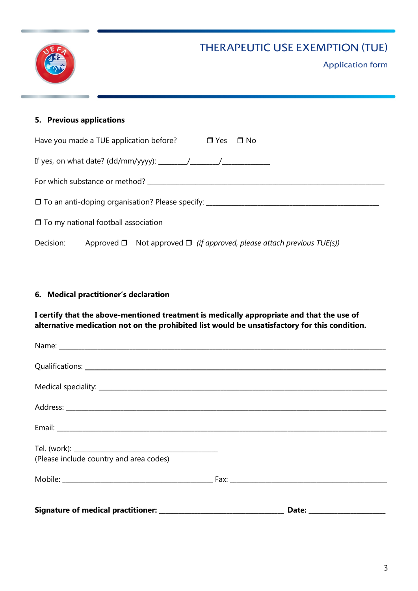# THERAPEUTIC USE EXEMPTION (TUE)



## **5. Previous applications**

|           |                                            | Have you made a TUE application before? $\Box$ Yes $\Box$ No                     |  |  |  |
|-----------|--------------------------------------------|----------------------------------------------------------------------------------|--|--|--|
|           |                                            |                                                                                  |  |  |  |
|           |                                            |                                                                                  |  |  |  |
|           |                                            | □ To an anti-doping organisation? Please specify: _________                      |  |  |  |
|           | $\Box$ To my national football association |                                                                                  |  |  |  |
| Decision: |                                            | Approved $\Box$ Not approved $\Box$ (if approved, please attach previous TUE(s)) |  |  |  |

## **6. Medical practitioner's declaration**

**I certify that the above-mentioned treatment is medically appropriate and that the use of alternative medication not on the prohibited list would be unsatisfactory for this condition.**

| (Please include country and area codes) |       |  |
|-----------------------------------------|-------|--|
|                                         |       |  |
| Signature of medical practitioner:      | Date: |  |